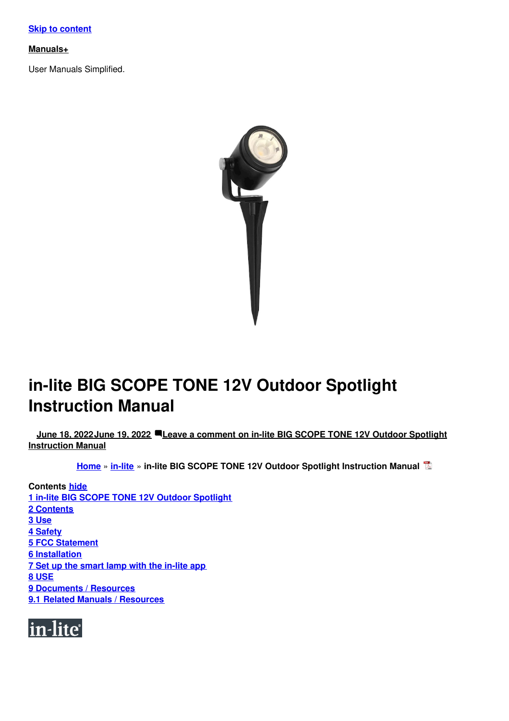#### **[Manuals+](https://manuals.plus/)**

User Manuals Simplified.



# **in-lite BIG SCOPE TONE 12V Outdoor Spotlight Instruction Manual**

**June 18, [2022June](#page-6-1) 19, 2022 Leave a comment on in-lite BIG SCOPE TONE 12V Outdoor Spotlight [Instruction](#page-12-0) Manual**

**[Home](https://manuals.plus/)** » **[in-lite](https://manuals.plus/category/in-lite)** » **in-lite BIG SCOPE TONE 12V Outdoor Spotlight Instruction Manual**

**Contents hide 1 in-lite BIG SCOPE TONE 12V Outdoor [Spotlight](#page-1-0) 2 [Contents](#page-1-1) 3 [Use](#page-2-0) 4 [Safety](#page-2-1) 5 FCC [Statement](#page-2-2) 6 [Installation](#page-3-0) 7 Set up the [smart](#page-5-0) lamp with the in-lite app 8 [USE](#page-9-0) 9 [Documents](#page-11-0) / Resources 9.1 Related Manuals / [Resources](#page-11-1)**

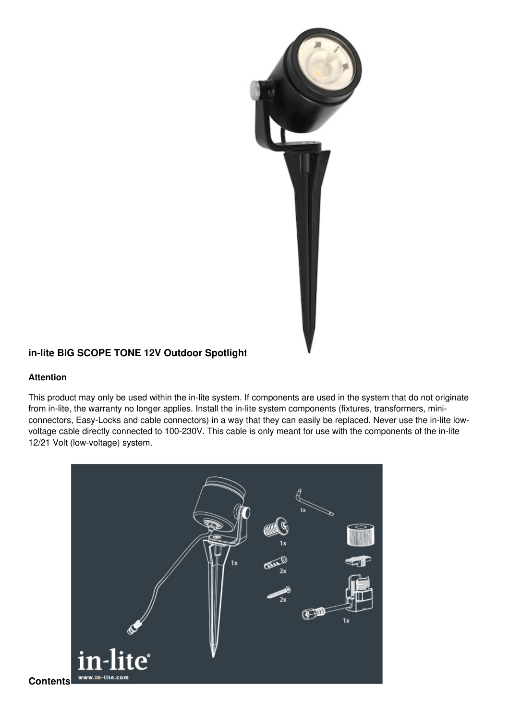

# <span id="page-1-0"></span>**in-lite BIG SCOPE TONE 12V Outdoor Spotlight**

#### **Attention**

This product may only be used within the in-lite system. If components are used in the system that do not originate from in-lite, the warranty no longer applies. Install the in-lite system components (fixtures, transformers, miniconnectors, Easy-Locks and cable connectors) in a way that they can easily be replaced. Never use the in-lite lowvoltage cable directly connected to 100-230V. This cable is only meant for use with the components of the in-lite 12/21 Volt (low-voltage) system.

<span id="page-1-1"></span>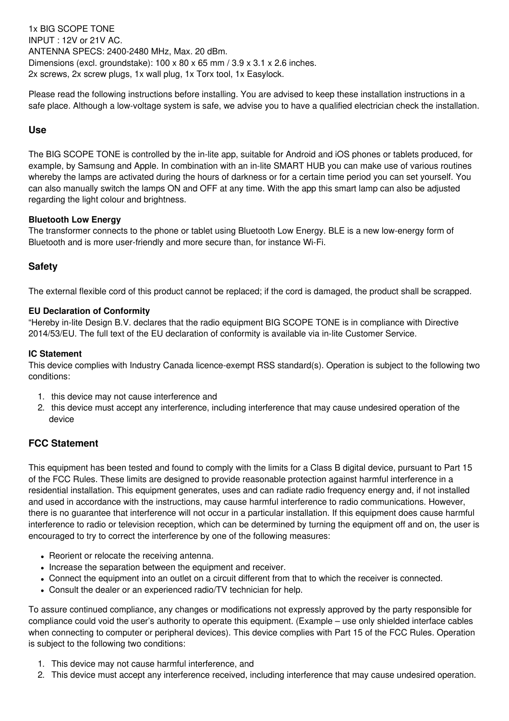1x BIG SCOPE TONE INPUT : 12V or 21V AC. ANTENNA SPECS: 2400-2480 MHz, Max. 20 dBm. Dimensions (excl. groundstake):  $100 \times 80 \times 65$  mm  $/ 3.9 \times 3.1 \times 2.6$  inches. 2x screws, 2x screw plugs, 1x wall plug, 1x Torx tool, 1x Easylock.

Please read the following instructions before installing. You are advised to keep these installation instructions in a safe place. Although a low-voltage system is safe, we advise you to have a qualified electrician check the installation.

## <span id="page-2-0"></span>**Use**

The BIG SCOPE TONE is controlled by the in-lite app, suitable for Android and iOS phones or tablets produced, for example, by Samsung and Apple. In combination with an in-lite SMART HUB you can make use of various routines whereby the lamps are activated during the hours of darkness or for a certain time period you can set yourself. You can also manually switch the lamps ON and OFF at any time. With the app this smart lamp can also be adjusted regarding the light colour and brightness.

## **Bluetooth Low Energy**

The transformer connects to the phone or tablet using Bluetooth Low Energy. BLE is a new low-energy form of Bluetooth and is more user-friendly and more secure than, for instance Wi-Fi.

# <span id="page-2-1"></span>**Safety**

The external flexible cord of this product cannot be replaced; if the cord is damaged, the product shall be scrapped.

#### **EU Declaration of Conformity**

"Hereby in-lite Design B.V. declares that the radio equipment BIG SCOPE TONE is in compliance with Directive 2014/53/EU. The full text of the EU declaration of conformity is available via in-lite Customer Service.

#### **IC Statement**

This device complies with Industry Canada licence-exempt RSS standard(s). Operation is subject to the following two conditions:

- 1. this device may not cause interference and
- 2. this device must accept any interference, including interference that may cause undesired operation of the device

# <span id="page-2-2"></span>**FCC Statement**

This equipment has been tested and found to comply with the limits for a Class B digital device, pursuant to Part 15 of the FCC Rules. These limits are designed to provide reasonable protection against harmful interference in a residential installation. This equipment generates, uses and can radiate radio frequency energy and, if not installed and used in accordance with the instructions, may cause harmful interference to radio communications. However, there is no guarantee that interference will not occur in a particular installation. If this equipment does cause harmful interference to radio or television reception, which can be determined by turning the equipment off and on, the user is encouraged to try to correct the interference by one of the following measures:

- Reorient or relocate the receiving antenna.
- Increase the separation between the equipment and receiver.
- Connect the equipment into an outlet on a circuit different from that to which the receiver is connected.
- Consult the dealer or an experienced radio/TV technician for help.

To assure continued compliance, any changes or modifications not expressly approved by the party responsible for compliance could void the user's authority to operate this equipment. (Example – use only shielded interface cables when connecting to computer or peripheral devices). This device complies with Part 15 of the FCC Rules. Operation is subject to the following two conditions:

- 1. This device may not cause harmful interference, and
- 2. This device must accept any interference received, including interference that may cause undesired operation.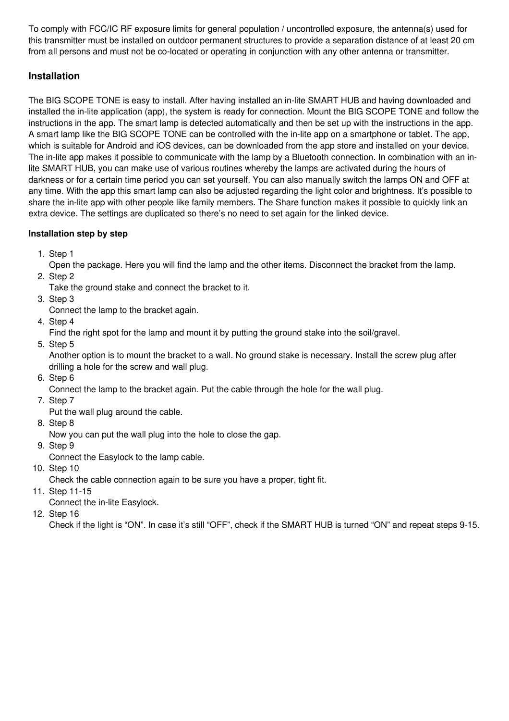To comply with FCC/IC RF exposure limits for general population / uncontrolled exposure, the antenna(s) used for this transmitter must be installed on outdoor permanent structures to provide a separation distance of at least 20 cm from all persons and must not be co-located or operating in conjunction with any other antenna or transmitter.

# <span id="page-3-0"></span>**Installation**

The BIG SCOPE TONE is easy to install. After having installed an in-lite SMART HUB and having downloaded and installed the in-lite application (app), the system is ready for connection. Mount the BIG SCOPE TONE and follow the instructions in the app. The smart lamp is detected automatically and then be set up with the instructions in the app. A smart lamp like the BIG SCOPE TONE can be controlled with the in-lite app on a smartphone or tablet. The app, which is suitable for Android and iOS devices, can be downloaded from the app store and installed on your device. The in-lite app makes it possible to communicate with the lamp by a Bluetooth connection. In combination with an inlite SMART HUB, you can make use of various routines whereby the lamps are activated during the hours of darkness or for a certain time period you can set yourself. You can also manually switch the lamps ON and OFF at any time. With the app this smart lamp can also be adjusted regarding the light color and brightness. It's possible to share the in-lite app with other people like family members. The Share function makes it possible to quickly link an extra device. The settings are duplicated so there's no need to set again for the linked device.

# **Installation step by step**

1. Step 1

Open the package. Here you will find the lamp and the other items. Disconnect the bracket from the lamp.

2. Step 2

Take the ground stake and connect the bracket to it.

3. Step 3

Connect the lamp to the bracket again.

4. Step 4

Find the right spot for the lamp and mount it by putting the ground stake into the soil/gravel.

5. Step 5

Another option is to mount the bracket to a wall. No ground stake is necessary. Install the screw plug after drilling a hole for the screw and wall plug.

6. Step 6

Connect the lamp to the bracket again. Put the cable through the hole for the wall plug.

7. Step 7

Put the wall plug around the cable.

- 8. Step 8
	- Now you can put the wall plug into the hole to close the gap.
- 9. Step 9

Connect the Easylock to the lamp cable.

10. Step 10

Check the cable connection again to be sure you have a proper, tight fit.

11. Step 11-15

Connect the in-lite Easylock.

12. Step 16

Check if the light is "ON". In case it's still "OFF", check if the SMART HUB is turned "ON" and repeat steps 9-15.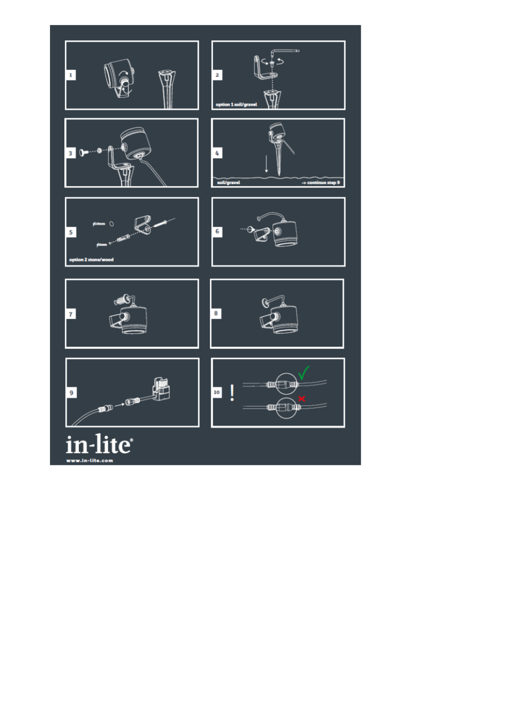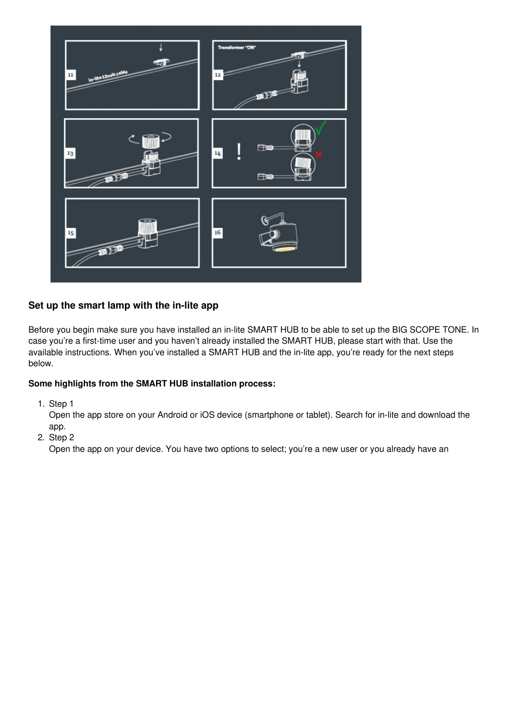

# <span id="page-5-0"></span>**Set up the smart lamp with the in-lite app**

Before you begin make sure you have installed an in-lite SMART HUB to be able to set up the BIG SCOPE TONE. In case you're a first-time user and you haven't already installed the SMART HUB, please start with that. Use the available instructions. When you've installed a SMART HUB and the in-lite app, you're ready for the next steps below.

## **Some highlights from the SMART HUB installation process:**

1. Step 1

Open the app store on your Android or iOS device (smartphone or tablet). Search for in-lite and download the app.

2. Step 2

Open the app on your device. You have two options to select; you're a new user or you already have an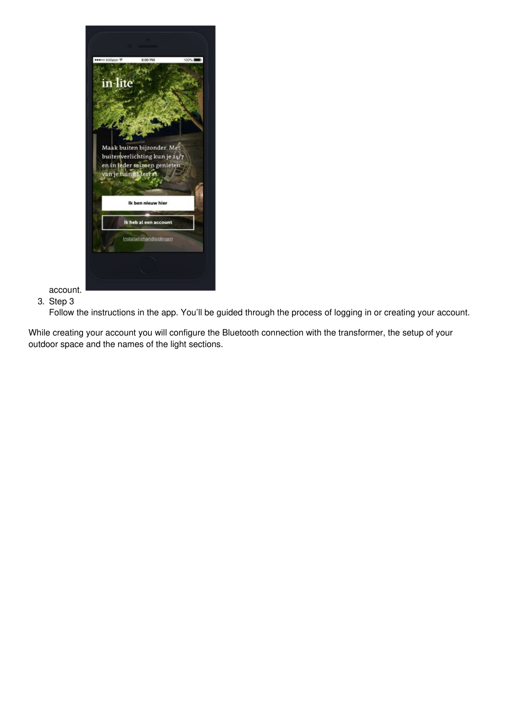<span id="page-6-1"></span><span id="page-6-0"></span>

account. 3. Step 3

Follow the instructions in the app. You'll be guided through the process of logging in or creating your account.

While creating your account you will configure the Bluetooth connection with the transformer, the setup of your outdoor space and the names of the light sections.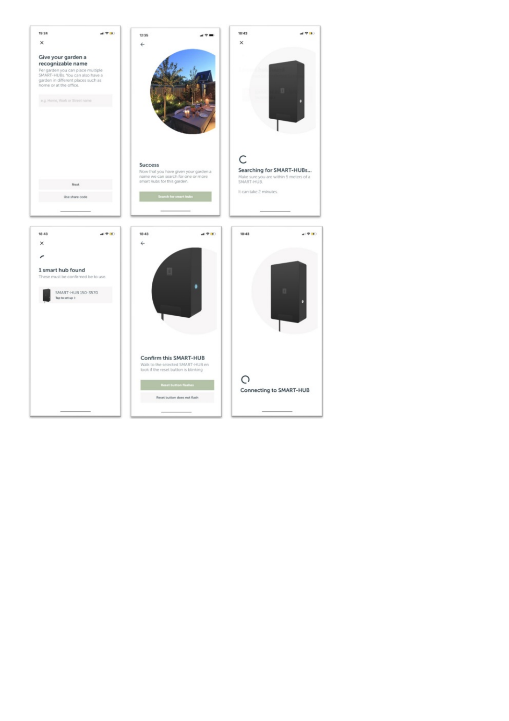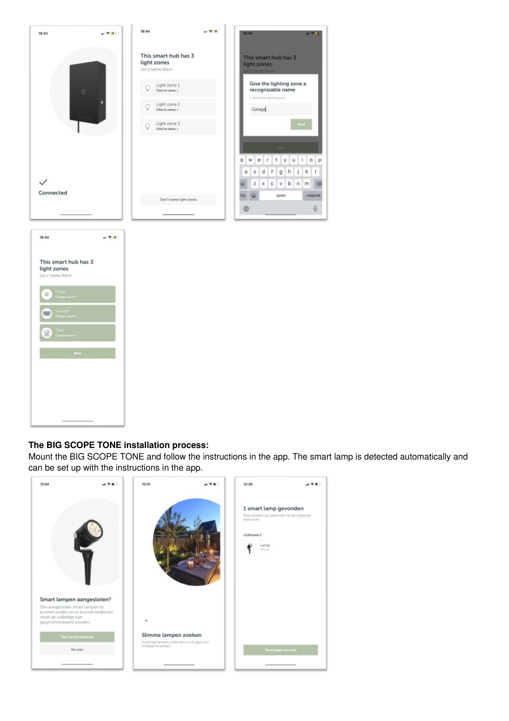| 18:43                                                  | all 空间)           | 18:44                                                  | $-199$                 | 18:44<br>计学生                                                                                                            |
|--------------------------------------------------------|-------------------|--------------------------------------------------------|------------------------|-------------------------------------------------------------------------------------------------------------------------|
|                                                        |                   | This smart hub has 3<br>light zones<br>Let's name them |                        | This smart hub has 3<br>light zones<br>Let's name them                                                                  |
|                                                        |                   | Light zone 1<br>Click to name >                        |                        | Give the lighting zone a<br>recognizable name                                                                           |
|                                                        |                   | Light zone 2<br>Click to name >                        |                        | Name the lighting zone<br>Garage                                                                                        |
|                                                        |                   | Light zone 3<br>Q<br>Click to name >                   |                        | Next                                                                                                                    |
|                                                        |                   |                                                        |                        |                                                                                                                         |
|                                                        |                   |                                                        |                        | t<br>î<br>$\mathsf{q}$<br>W<br>e<br>r<br>У<br>u<br>$\circ$<br>p<br>f<br>h<br>k<br>$\mathsf{I}$<br>a<br>s<br>d<br>g<br>ĵ |
| Connected                                              |                   |                                                        |                        | b<br>m<br>$\textcircled{\scriptsize{x}}$<br>z<br>x<br>c<br>v<br>n<br>♦                                                  |
|                                                        |                   |                                                        | Don't name light zones | ø<br>spatie<br>volgende<br>123<br>$\overline{\mathbb{Q}}$<br>⊕                                                          |
|                                                        |                   |                                                        |                        |                                                                                                                         |
| 18:44                                                  | $e(\Psi(\theta))$ |                                                        |                        |                                                                                                                         |
| This smart hub has 3<br>light zones<br>Let's name them |                   |                                                        |                        |                                                                                                                         |
| Pond<br>Change name ><br>w<br>rauge om                 |                   |                                                        |                        |                                                                                                                         |
| Garage<br>Change name ><br><b>Ford</b>                 |                   |                                                        |                        |                                                                                                                         |
| Tree<br>Change name :                                  |                   |                                                        |                        |                                                                                                                         |
| Save                                                   |                   |                                                        |                        |                                                                                                                         |
|                                                        |                   |                                                        |                        |                                                                                                                         |
|                                                        |                   |                                                        |                        |                                                                                                                         |
|                                                        |                   |                                                        |                        |                                                                                                                         |
|                                                        |                   |                                                        |                        |                                                                                                                         |

## **The BIG SCOPE TONE installation process:**

Mount the BIG SCOPE TONE and follow the instructions in the app. The smart lamp is detected automatically and can be set up with the instructions in the app.

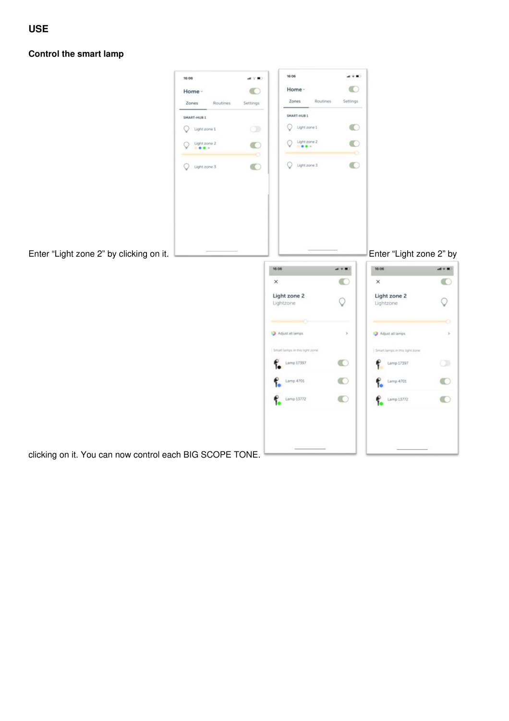<span id="page-9-0"></span>**Control the smart lamp**

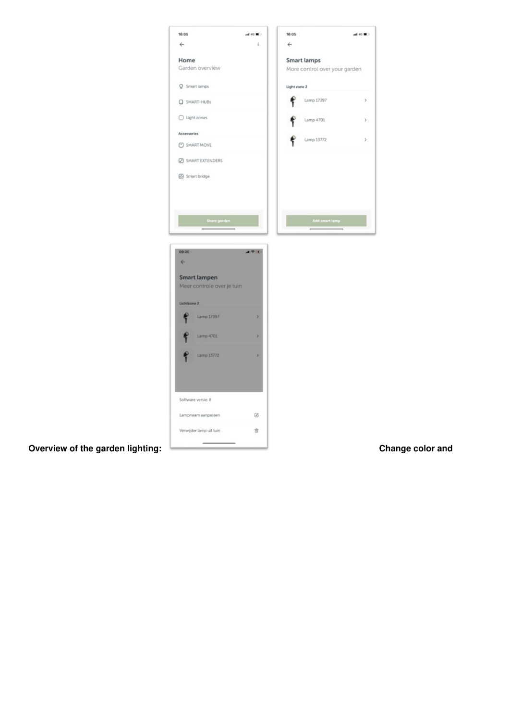| 16:05<br>$\leftarrow$            | $-46$ M)<br>ŧ. | 16:05<br>$\leftarrow$                               | $-46$ M)         |
|----------------------------------|----------------|-----------------------------------------------------|------------------|
|                                  |                |                                                     |                  |
| Home<br>Garden overview          |                | <b>Smart lamps</b><br>More control over your garden |                  |
| P Smart lamps                    |                | Light zone 2                                        |                  |
| SMART-HUBs                       |                | ۴<br>Lamp 17397                                     | $\,$             |
| □ Light zones                    |                | ę<br>Lamp 4701                                      | $\,$             |
| Accessories                      |                |                                                     |                  |
| SMART MOVE                       |                | Lamp 13772                                          | $\,$             |
| SMART EXTENDERS                  |                |                                                     |                  |
| Smart bridge                     |                |                                                     |                  |
|                                  |                |                                                     |                  |
|                                  |                |                                                     |                  |
| Share garden                     |                | Add smart lamp                                      |                  |
|                                  |                |                                                     |                  |
| 09:20                            | $-194$         |                                                     |                  |
| $\leftarrow$                     |                |                                                     |                  |
| <b>Smart lampen</b>              |                |                                                     |                  |
| Meer controle over je tuin       |                |                                                     |                  |
| Lichtzone 2                      |                |                                                     |                  |
| Lamp 17397                       | 5              |                                                     |                  |
| Lamp 4701                        | $\overline{ }$ |                                                     |                  |
| Lamp 13772                       | $\mathbf{A}$   |                                                     |                  |
|                                  |                |                                                     |                  |
|                                  |                |                                                     |                  |
|                                  |                |                                                     |                  |
| Software versie: 8               |                |                                                     |                  |
| Lampnaam aanpassen               | $\mathcal{C}$  |                                                     |                  |
| Verwijder lamp uit tuin          | Ů              |                                                     |                  |
| Overview of the garden lighting: |                |                                                     | Change color and |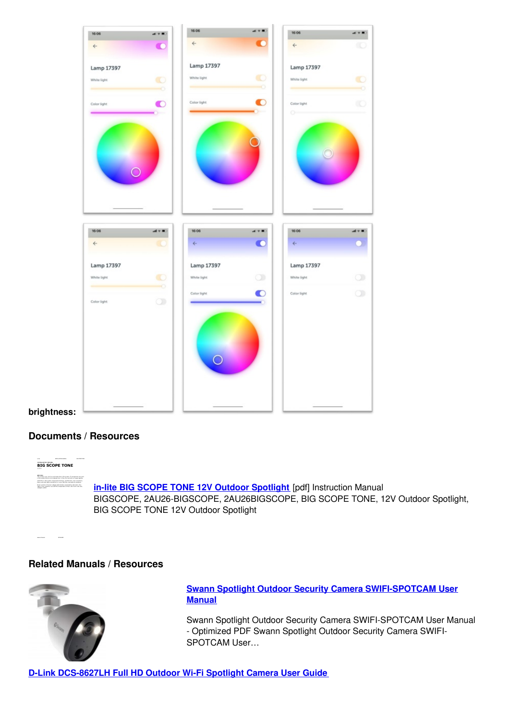

**brightness:**

## <span id="page-11-0"></span>**Documents / Resources**



## <span id="page-11-1"></span>**Related Manuals / Resources**



**Swann Spotlight Outdoor Security Camera [SWIFI-SPOTCAM](https://manuals.plus/swann/swann-spotlight-outdoor-security-camera-swifi-spotcam-manual-pdf) User Manual**

Swann Spotlight Outdoor Security Camera SWIFI-SPOTCAM User Manual - Optimized PDF Swann Spotlight Outdoor Security Camera SWIFI-SPOTCAM User…